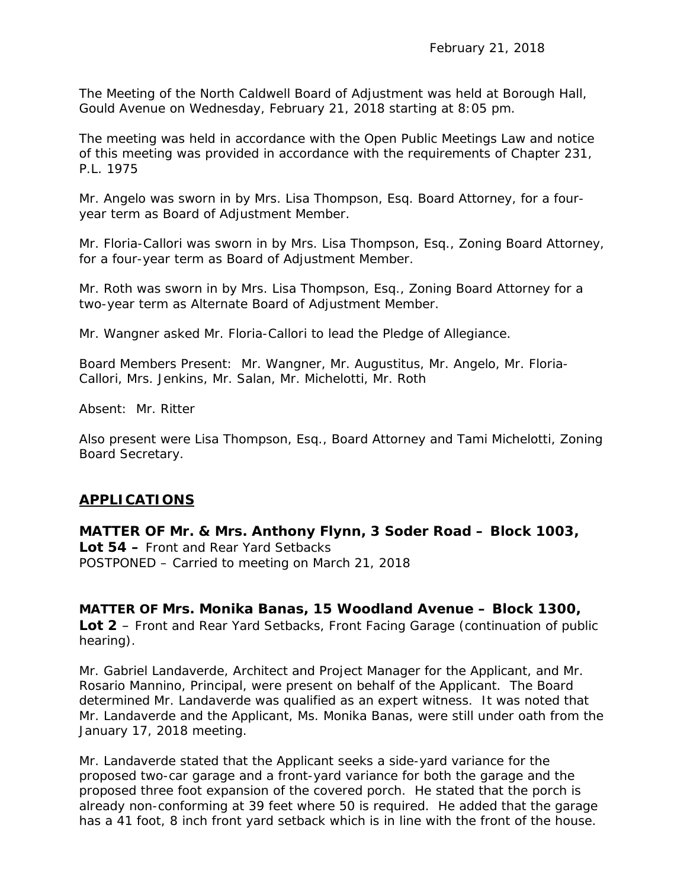The Meeting of the North Caldwell Board of Adjustment was held at Borough Hall, Gould Avenue on Wednesday, February 21, 2018 starting at 8:05 pm.

The meeting was held in accordance with the Open Public Meetings Law and notice of this meeting was provided in accordance with the requirements of Chapter 231, P.L. 1975

Mr. Angelo was sworn in by Mrs. Lisa Thompson, Esq. Board Attorney, for a fouryear term as Board of Adjustment Member.

Mr. Floria-Callori was sworn in by Mrs. Lisa Thompson, Esq., Zoning Board Attorney, for a four-year term as Board of Adjustment Member.

Mr. Roth was sworn in by Mrs. Lisa Thompson, Esq., Zoning Board Attorney for a two-year term as Alternate Board of Adjustment Member.

Mr. Wangner asked Mr. Floria-Callori to lead the Pledge of Allegiance.

Board Members Present: Mr. Wangner, Mr. Augustitus, Mr. Angelo, Mr. Floria-Callori, Mrs. Jenkins, Mr. Salan, Mr. Michelotti, Mr. Roth

Absent: Mr. Ritter

Also present were Lisa Thompson, Esq., Board Attorney and Tami Michelotti, Zoning Board Secretary.

### **APPLICATIONS**

**MATTER OF Mr. & Mrs. Anthony Flynn, 3 Soder Road – Block 1003, Lot 54 –** Front and Rear Yard Setbacks POSTPONED – Carried to meeting on March 21, 2018

**MATTER OF Mrs. Monika Banas, 15 Woodland Avenue – Block 1300, Lot 2** – Front and Rear Yard Setbacks, Front Facing Garage (continuation of public hearing).

Mr. Gabriel Landaverde, Architect and Project Manager for the Applicant, and Mr. Rosario Mannino, Principal, were present on behalf of the Applicant. The Board determined Mr. Landaverde was qualified as an expert witness. It was noted that Mr. Landaverde and the Applicant, Ms. Monika Banas, were still under oath from the January 17, 2018 meeting.

Mr. Landaverde stated that the Applicant seeks a side-yard variance for the proposed two-car garage and a front-yard variance for both the garage and the proposed three foot expansion of the covered porch. He stated that the porch is already non-conforming at 39 feet where 50 is required. He added that the garage has a 41 foot, 8 inch front yard setback which is in line with the front of the house.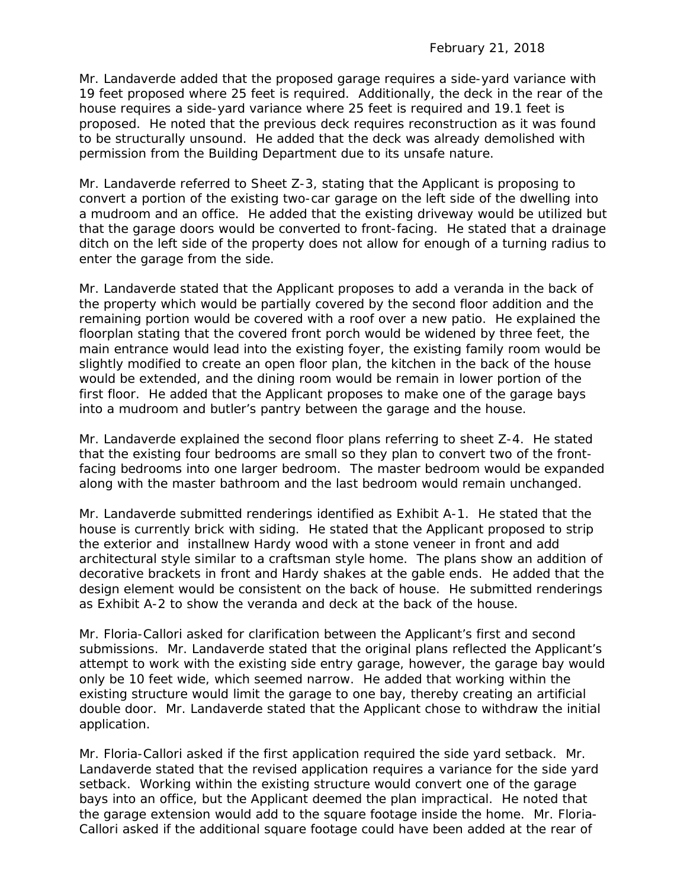Mr. Landaverde added that the proposed garage requires a side-yard variance with 19 feet proposed where 25 feet is required. Additionally, the deck in the rear of the house requires a side-yard variance where 25 feet is required and 19.1 feet is proposed. He noted that the previous deck requires reconstruction as it was found to be structurally unsound. He added that the deck was already demolished with permission from the Building Department due to its unsafe nature.

Mr. Landaverde referred to Sheet Z-3, stating that the Applicant is proposing to convert a portion of the existing two-car garage on the left side of the dwelling into a mudroom and an office. He added that the existing driveway would be utilized but that the garage doors would be converted to front-facing. He stated that a drainage ditch on the left side of the property does not allow for enough of a turning radius to enter the garage from the side.

Mr. Landaverde stated that the Applicant proposes to add a veranda in the back of the property which would be partially covered by the second floor addition and the remaining portion would be covered with a roof over a new patio. He explained the floorplan stating that the covered front porch would be widened by three feet, the main entrance would lead into the existing foyer, the existing family room would be slightly modified to create an open floor plan, the kitchen in the back of the house would be extended, and the dining room would be remain in lower portion of the first floor. He added that the Applicant proposes to make one of the garage bays into a mudroom and butler's pantry between the garage and the house.

Mr. Landaverde explained the second floor plans referring to sheet Z-4. He stated that the existing four bedrooms are small so they plan to convert two of the frontfacing bedrooms into one larger bedroom. The master bedroom would be expanded along with the master bathroom and the last bedroom would remain unchanged.

Mr. Landaverde submitted renderings identified as Exhibit A-1. He stated that the house is currently brick with siding. He stated that the Applicant proposed to strip the exterior and installnew Hardy wood with a stone veneer in front and add architectural style similar to a craftsman style home. The plans show an addition of decorative brackets in front and Hardy shakes at the gable ends. He added that the design element would be consistent on the back of house. He submitted renderings as Exhibit A-2 to show the veranda and deck at the back of the house.

Mr. Floria-Callori asked for clarification between the Applicant's first and second submissions. Mr. Landaverde stated that the original plans reflected the Applicant's attempt to work with the existing side entry garage, however, the garage bay would only be 10 feet wide, which seemed narrow. He added that working within the existing structure would limit the garage to one bay, thereby creating an artificial double door. Mr. Landaverde stated that the Applicant chose to withdraw the initial application.

Mr. Floria-Callori asked if the first application required the side yard setback. Mr. Landaverde stated that the revised application requires a variance for the side yard setback. Working within the existing structure would convert one of the garage bays into an office, but the Applicant deemed the plan impractical. He noted that the garage extension would add to the square footage inside the home. Mr. Floria-Callori asked if the additional square footage could have been added at the rear of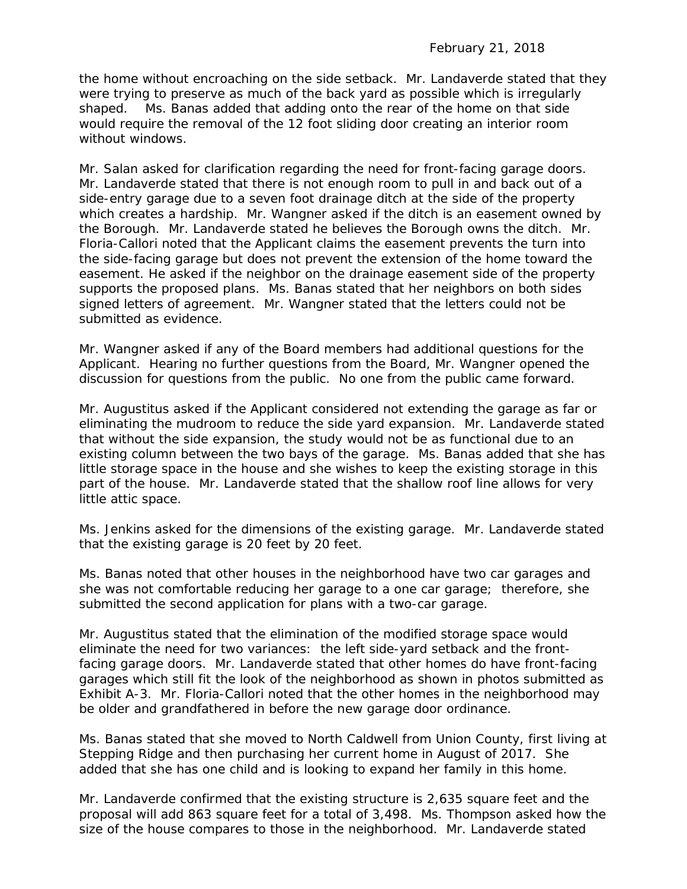the home without encroaching on the side setback. Mr. Landaverde stated that they were trying to preserve as much of the back yard as possible which is irregularly shaped. Ms. Banas added that adding onto the rear of the home on that side would require the removal of the 12 foot sliding door creating an interior room without windows.

Mr. Salan asked for clarification regarding the need for front-facing garage doors. Mr. Landaverde stated that there is not enough room to pull in and back out of a side-entry garage due to a seven foot drainage ditch at the side of the property which creates a hardship. Mr. Wangner asked if the ditch is an easement owned by the Borough. Mr. Landaverde stated he believes the Borough owns the ditch. Mr. Floria-Callori noted that the Applicant claims the easement prevents the turn into the side-facing garage but does not prevent the extension of the home toward the easement. He asked if the neighbor on the drainage easement side of the property supports the proposed plans. Ms. Banas stated that her neighbors on both sides signed letters of agreement. Mr. Wangner stated that the letters could not be submitted as evidence.

Mr. Wangner asked if any of the Board members had additional questions for the Applicant. Hearing no further questions from the Board, Mr. Wangner opened the discussion for questions from the public. No one from the public came forward.

Mr. Augustitus asked if the Applicant considered not extending the garage as far or eliminating the mudroom to reduce the side yard expansion. Mr. Landaverde stated that without the side expansion, the study would not be as functional due to an existing column between the two bays of the garage. Ms. Banas added that she has little storage space in the house and she wishes to keep the existing storage in this part of the house. Mr. Landaverde stated that the shallow roof line allows for very little attic space.

Ms. Jenkins asked for the dimensions of the existing garage. Mr. Landaverde stated that the existing garage is 20 feet by 20 feet.

Ms. Banas noted that other houses in the neighborhood have two car garages and she was not comfortable reducing her garage to a one car garage; therefore, she submitted the second application for plans with a two-car garage.

Mr. Augustitus stated that the elimination of the modified storage space would eliminate the need for two variances: the left side-yard setback and the frontfacing garage doors. Mr. Landaverde stated that other homes do have front-facing garages which still fit the look of the neighborhood as shown in photos submitted as Exhibit A-3. Mr. Floria-Callori noted that the other homes in the neighborhood may be older and grandfathered in before the new garage door ordinance.

Ms. Banas stated that she moved to North Caldwell from Union County, first living at Stepping Ridge and then purchasing her current home in August of 2017. She added that she has one child and is looking to expand her family in this home.

Mr. Landaverde confirmed that the existing structure is 2,635 square feet and the proposal will add 863 square feet for a total of 3,498. Ms. Thompson asked how the size of the house compares to those in the neighborhood. Mr. Landaverde stated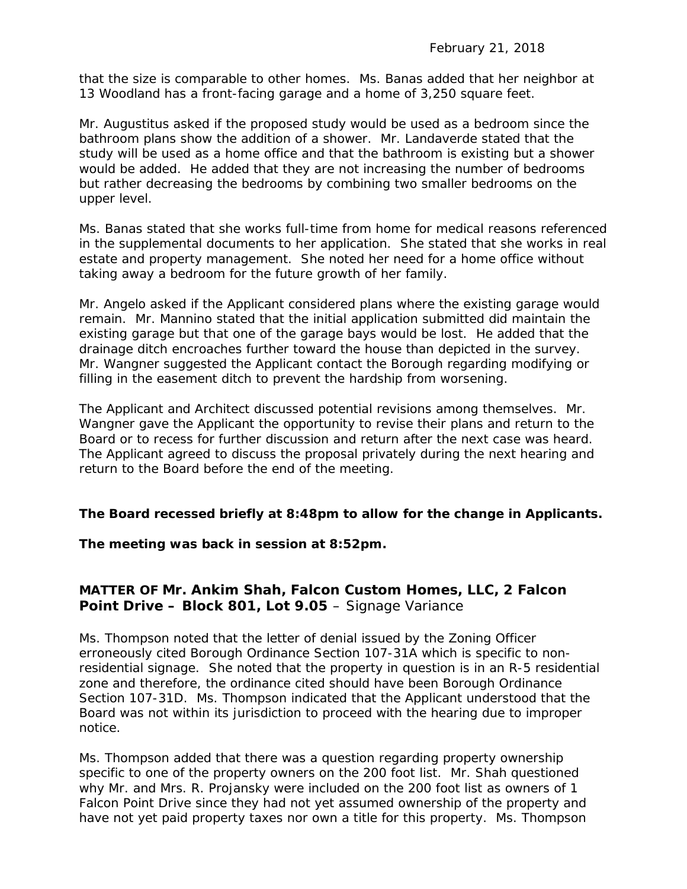that the size is comparable to other homes. Ms. Banas added that her neighbor at 13 Woodland has a front-facing garage and a home of 3,250 square feet.

Mr. Augustitus asked if the proposed study would be used as a bedroom since the bathroom plans show the addition of a shower. Mr. Landaverde stated that the study will be used as a home office and that the bathroom is existing but a shower would be added. He added that they are not increasing the number of bedrooms but rather decreasing the bedrooms by combining two smaller bedrooms on the upper level.

Ms. Banas stated that she works full-time from home for medical reasons referenced in the supplemental documents to her application. She stated that she works in real estate and property management. She noted her need for a home office without taking away a bedroom for the future growth of her family.

Mr. Angelo asked if the Applicant considered plans where the existing garage would remain. Mr. Mannino stated that the initial application submitted did maintain the existing garage but that one of the garage bays would be lost. He added that the drainage ditch encroaches further toward the house than depicted in the survey. Mr. Wangner suggested the Applicant contact the Borough regarding modifying or filling in the easement ditch to prevent the hardship from worsening.

The Applicant and Architect discussed potential revisions among themselves. Mr. Wangner gave the Applicant the opportunity to revise their plans and return to the Board or to recess for further discussion and return after the next case was heard. The Applicant agreed to discuss the proposal privately during the next hearing and return to the Board before the end of the meeting.

### **The Board recessed briefly at 8:48pm to allow for the change in Applicants.**

#### **The meeting was back in session at 8:52pm.**

# **MATTER OF Mr. Ankim Shah, Falcon Custom Homes, LLC, 2 Falcon Point Drive – Block 801, Lot 9.05** – Signage Variance

Ms. Thompson noted that the letter of denial issued by the Zoning Officer erroneously cited Borough Ordinance Section 107-31A which is specific to nonresidential signage. She noted that the property in question is in an R-5 residential zone and therefore, the ordinance cited should have been Borough Ordinance Section 107-31D. Ms. Thompson indicated that the Applicant understood that the Board was not within its jurisdiction to proceed with the hearing due to improper notice.

Ms. Thompson added that there was a question regarding property ownership specific to one of the property owners on the 200 foot list. Mr. Shah questioned why Mr. and Mrs. R. Projansky were included on the 200 foot list as owners of 1 Falcon Point Drive since they had not yet assumed ownership of the property and have not yet paid property taxes nor own a title for this property. Ms. Thompson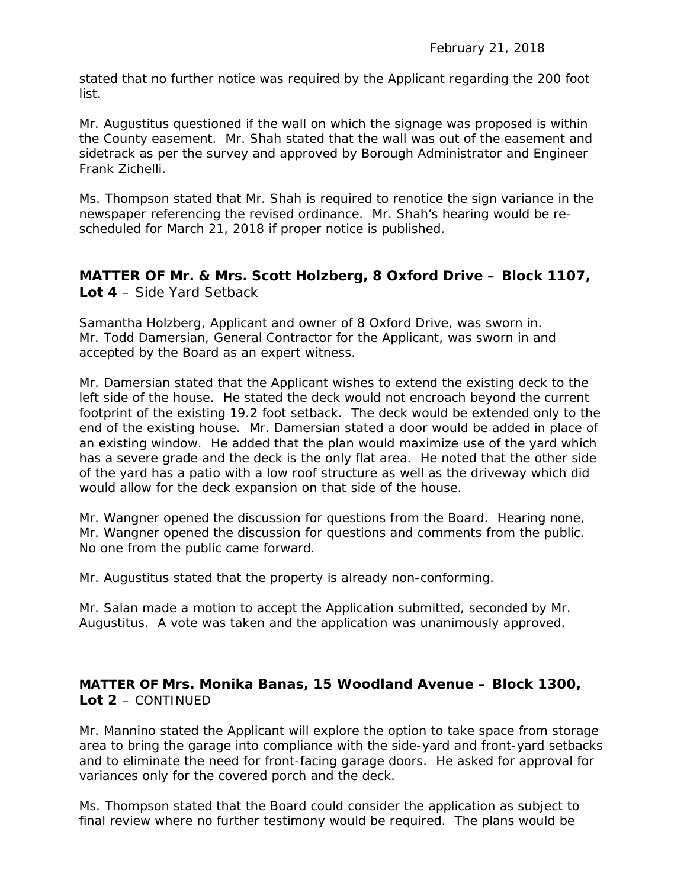stated that no further notice was required by the Applicant regarding the 200 foot list.

Mr. Augustitus questioned if the wall on which the signage was proposed is within the County easement. Mr. Shah stated that the wall was out of the easement and sidetrack as per the survey and approved by Borough Administrator and Engineer Frank Zichelli.

Ms. Thompson stated that Mr. Shah is required to renotice the sign variance in the newspaper referencing the revised ordinance. Mr. Shah's hearing would be rescheduled for March 21, 2018 if proper notice is published.

# **MATTER OF Mr. & Mrs. Scott Holzberg, 8 Oxford Drive – Block 1107, Lot 4** – Side Yard Setback

Samantha Holzberg, Applicant and owner of 8 Oxford Drive, was sworn in. Mr. Todd Damersian, General Contractor for the Applicant, was sworn in and accepted by the Board as an expert witness.

Mr. Damersian stated that the Applicant wishes to extend the existing deck to the left side of the house. He stated the deck would not encroach beyond the current footprint of the existing 19.2 foot setback. The deck would be extended only to the end of the existing house. Mr. Damersian stated a door would be added in place of an existing window. He added that the plan would maximize use of the yard which has a severe grade and the deck is the only flat area. He noted that the other side of the yard has a patio with a low roof structure as well as the driveway which did would allow for the deck expansion on that side of the house.

Mr. Wangner opened the discussion for questions from the Board. Hearing none, Mr. Wangner opened the discussion for questions and comments from the public. No one from the public came forward.

Mr. Augustitus stated that the property is already non-conforming.

Mr. Salan made a motion to accept the Application submitted, seconded by Mr. Augustitus. A vote was taken and the application was unanimously approved.

# **MATTER OF Mrs. Monika Banas, 15 Woodland Avenue – Block 1300, Lot 2** – CONTINUED

Mr. Mannino stated the Applicant will explore the option to take space from storage area to bring the garage into compliance with the side-yard and front-yard setbacks and to eliminate the need for front-facing garage doors. He asked for approval for variances only for the covered porch and the deck.

Ms. Thompson stated that the Board could consider the application as subject to final review where no further testimony would be required. The plans would be